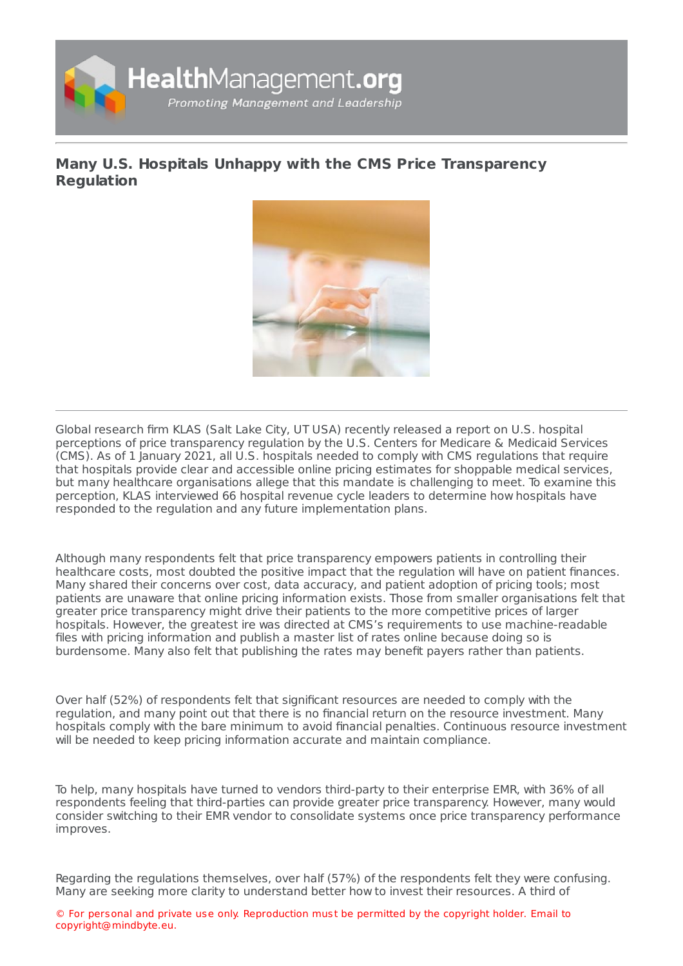

## **Many U.S. Hospitals Unhappy with the CMS Price [Transparency](https://healthmanagement.org/s/many-u-s-hospitals-unhappy-with-the-cms-price-transparency-regulation) Regulation**



Global research firm KLAS (Salt Lake City, UT USA) recently released a report on U.S. hospital perceptions of price transparency regulation by the U.S. Centers for Medicare & Medicaid Services (CMS). As of 1 January 2021, all U.S. hospitals needed to comply with CMS regulations that require that hospitals provide clear and accessible online pricing estimates for shoppable medical services, but many healthcare organisations allege that this mandate is challenging to meet. To examine this perception, KLAS interviewed 66 hospital revenue cycle leaders to determine how hospitals have responded to the regulation and any future implementation plans.

Although many respondents felt that price transparency empowers patients in controlling their healthcare costs, most doubted the positive impact that the regulation will have on patient finances. Many shared their concerns over cost, data accuracy, and patient adoption of pricing tools; most patients are unaware that online pricing information exists. Those from smaller organisations felt that greater price transparency might drive their patients to the more competitive prices of larger hospitals. However, the greatest ire was directed at CMS's requirements to use machine-readable files with pricing information and publish a master list of rates online because doing so is burdensome. Many also felt that publishing the rates may benefit payers rather than patients.

Over half (52%) of respondents felt that significant resources are needed to comply with the regulation, and many point out that there is no financial return on the resource investment. Many hospitals comply with the bare minimum to avoid financial penalties. Continuous resource investment will be needed to keep pricing information accurate and maintain compliance.

To help, many hospitals have turned to vendors third-party to their enterprise EMR, with 36% of all respondents feeling that third-parties can provide greater price transparency. However, many would consider switching to their EMR vendor to consolidate systems once price transparency performance improves.

Regarding the regulations themselves, over half (57%) of the respondents felt they were confusing. Many are seeking more clarity to understand better how to invest their resources. A third of

© For personal and private use only. Reproduction must be permitted by the copyright holder. Email to copyright@mindbyte.eu.